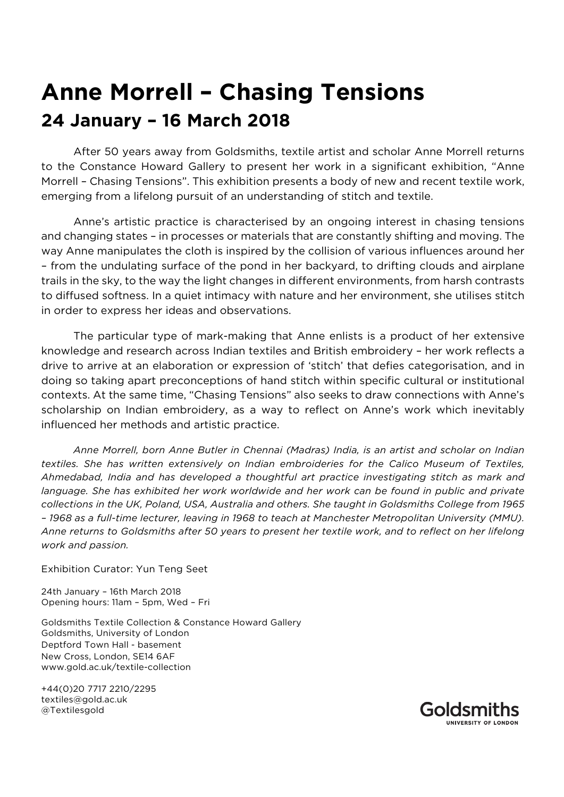## **Anne Morrell – Chasing Tensions 24 January – 16 March 2018**

After 50 years away from Goldsmiths, textile artist and scholar Anne Morrell returns to the Constance Howard Gallery to present her work in a significant exhibition, "Anne Morrell – Chasing Tensions". This exhibition presents a body of new and recent textile work, emerging from a lifelong pursuit of an understanding of stitch and textile.

Anne's artistic practice is characterised by an ongoing interest in chasing tensions and changing states – in processes or materials that are constantly shifting and moving. The way Anne manipulates the cloth is inspired by the collision of various influences around her – from the undulating surface of the pond in her backyard, to drifting clouds and airplane trails in the sky, to the way the light changes in different environments, from harsh contrasts to diffused softness. In a quiet intimacy with nature and her environment, she utilises stitch in order to express her ideas and observations.

The particular type of mark-making that Anne enlists is a product of her extensive knowledge and research across Indian textiles and British embroidery – her work reflects a drive to arrive at an elaboration or expression of 'stitch' that defies categorisation, and in doing so taking apart preconceptions of hand stitch within specific cultural or institutional contexts. At the same time, "Chasing Tensions" also seeks to draw connections with Anne's scholarship on Indian embroidery, as a way to reflect on Anne's work which inevitably influenced her methods and artistic practice.

*Anne Morrell, born Anne Butler in Chennai (Madras) India, is an artist and scholar on Indian textiles. She has written extensively on Indian embroideries for the Calico Museum of Textiles, Ahmedabad, India and has developed a thoughtful art practice investigating stitch as mark and*  language. She has exhibited her work worldwide and her work can be found in public and private *collections in the UK, Poland, USA, Australia and others. She taught in Goldsmiths College from 1965 – 1968 as a full-time lecturer, leaving in 1968 to teach at Manchester Metropolitan University (MMU). Anne returns to Goldsmiths after 50 years to present her textile work, and to reflect on her lifelong work and passion.* 

## Exhibition Curator: Yun Teng Seet

24th January – 16th March 2018 Opening hours: 11am – 5pm, Wed – Fri

Goldsmiths Textile Collection & Constance Howard Gallery Goldsmiths, University of London Deptford Town Hall - basement New Cross, London, SE14 6AF www.gold.ac.uk/textile-collection

+44(0)20 7717 2210/2295 textiles@gold.ac.uk @Textilesgold